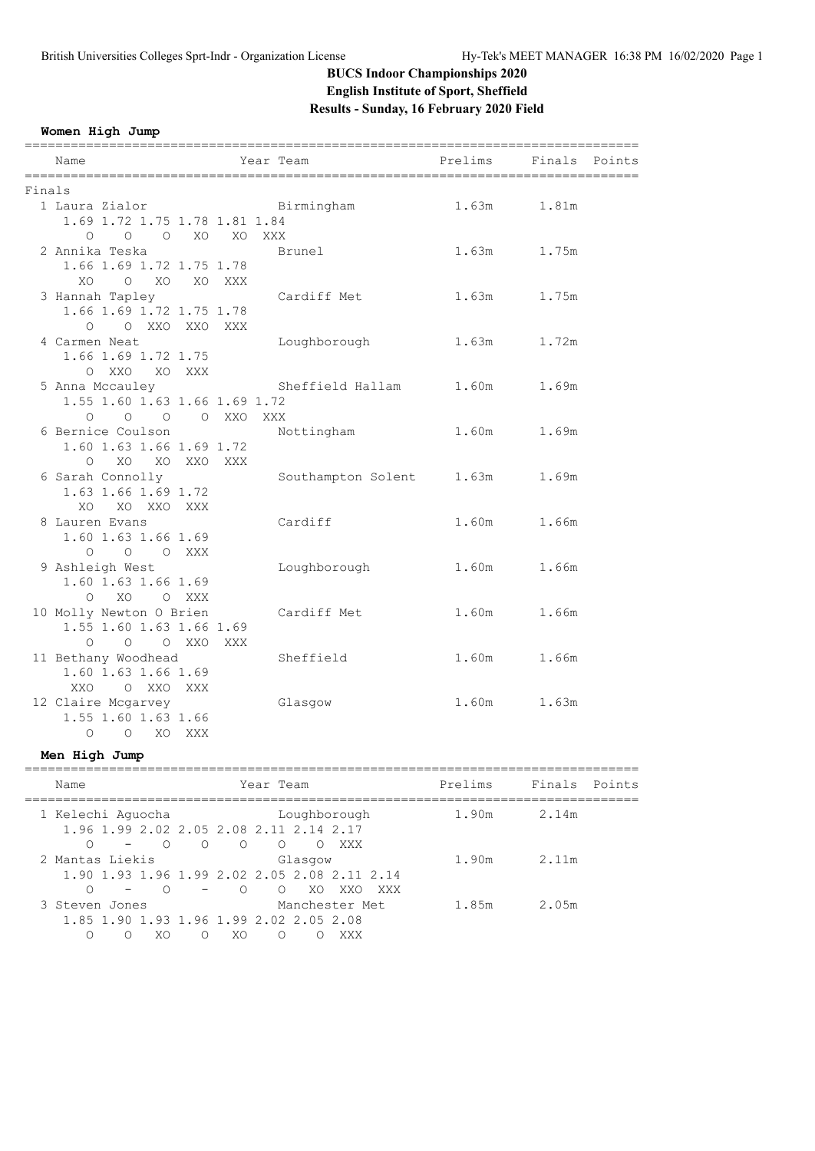### **BUCS Indoor Championships 2020 English Institute of Sport, Sheffield Results - Sunday, 16 February 2020 Field**

**Women High Jump**

|        | Name                                      |        | Year Team                    | Prelims | Finals Points |  |
|--------|-------------------------------------------|--------|------------------------------|---------|---------------|--|
| Finals |                                           |        |                              |         |               |  |
|        | 1 Laura Zialor                            |        | Birmingham                   | 1.63m   | 1.81m         |  |
|        | 1.69 1.72 1.75 1.78 1.81 1.84             |        |                              |         |               |  |
|        | $0 \qquad 0 \qquad 0 \qquad X0 \qquad X0$ |        | XXX                          |         |               |  |
|        | 2 Annika Teska                            |        | Brunel                       |         | 1.63m 1.75m   |  |
|        | 1.66 1.69 1.72 1.75 1.78                  |        |                              |         |               |  |
|        | $O$ XO<br>XO                              | XO XXX |                              |         |               |  |
|        | 3 Hannah Tapley                           |        | Cardiff Met                  |         | 1.63m 1.75m   |  |
|        | 1.66 1.69 1.72 1.75 1.78                  |        |                              |         |               |  |
|        | O OXXOXXOXXX                              |        |                              |         |               |  |
|        | 4 Carmen Neat                             |        | Loughborough                 |         | 1.63m 1.72m   |  |
|        | 1.66 1.69 1.72 1.75                       |        |                              |         |               |  |
|        | O XXO XO XXX                              |        |                              |         |               |  |
|        | 5 Anna Mccauley                           |        | Sheffield Hallam 1.60m 1.69m |         |               |  |
|        | 1.55 1.60 1.63 1.66 1.69 1.72             |        |                              |         |               |  |
|        | 0 0 0 0 XXO XXX                           |        |                              |         |               |  |
|        | 6 Bernice Coulson                         |        | Nottingham                   |         | 1.60m 1.69m   |  |
|        | 1.60 1.63 1.66 1.69 1.72                  |        |                              |         |               |  |
|        | XO XO XXO XXX<br>$\Omega$                 |        |                              |         |               |  |
|        | 6 Sarah Connolly                          |        | Southampton Solent           | 1.63m   | 1.69m         |  |
|        | 1.63 1.66 1.69 1.72                       |        |                              |         |               |  |
|        | XO XO XXO XXX                             |        |                              |         |               |  |
|        | 8 Lauren Evans                            |        | Cardiff                      | 1.60m   | 1.66m         |  |
|        | 1.60 1.63 1.66 1.69                       |        |                              |         |               |  |
|        | 0 0 0 XXX                                 |        |                              |         |               |  |
|        | 9 Ashleigh West                           |        | Loughborough                 | 1.60m   | 1.66m         |  |
|        | 1.60 1.63 1.66 1.69                       |        |                              |         |               |  |
|        | O XO O XXX                                |        |                              |         |               |  |
|        | 10 Molly Newton O Brien                   |        | Cardiff Met                  | 1.60m   | 1.66m         |  |
|        | 1.55 1.60 1.63 1.66 1.69                  |        |                              |         |               |  |
|        | $\circ$<br>O O XXO XXX                    |        |                              |         |               |  |
|        | 11 Bethany Woodhead                       |        | Sheffield                    | 1.60m   | 1.66m         |  |
|        | 1.60 1.63 1.66 1.69                       |        |                              |         |               |  |
|        | XXO O XXO XXX                             |        |                              |         |               |  |
|        | 12 Claire Mcgarvey                        |        | Glasgow                      | 1.60m   | 1.63m         |  |
|        | 1.55 1.60 1.63 1.66                       |        |                              |         |               |  |
|        | O O XO XXX                                |        |                              |         |               |  |

#### **Men High Jump**

| Name                           | Year Team                                                                                                                                   | Prelims | Finals Points |  |
|--------------------------------|---------------------------------------------------------------------------------------------------------------------------------------------|---------|---------------|--|
| 1 Kelechi Aquocha              | Loughborough<br>1.96 1.99 2.02 2.05 2.08 2.11 2.14 2.17                                                                                     | 1.90m   | 2.14m         |  |
| $\bigcirc$<br>2 Mantas Liekis  | $\circ$<br>$\bigcirc$<br>$\bigcirc$<br>XXX<br>$\left($ $\right)$<br>Glasqow<br>1,90 1,93 1,96 1,99 2,02 2,05 2,08 2,11 2,14                 | 1.90m   | 2.11m         |  |
| 3 Steven Jones<br>∩<br>XΟ<br>∩ | $\overline{\phantom{0}}$<br>$\bigcirc$<br>XO.<br>XXO<br>XXX<br>Manchester Met<br>1.85 1.90 1.93 1.96 1.99 2.02 2.05 2.08<br>XO.<br>∩<br>XXX | 1.85m   | 2.05m         |  |
|                                |                                                                                                                                             |         |               |  |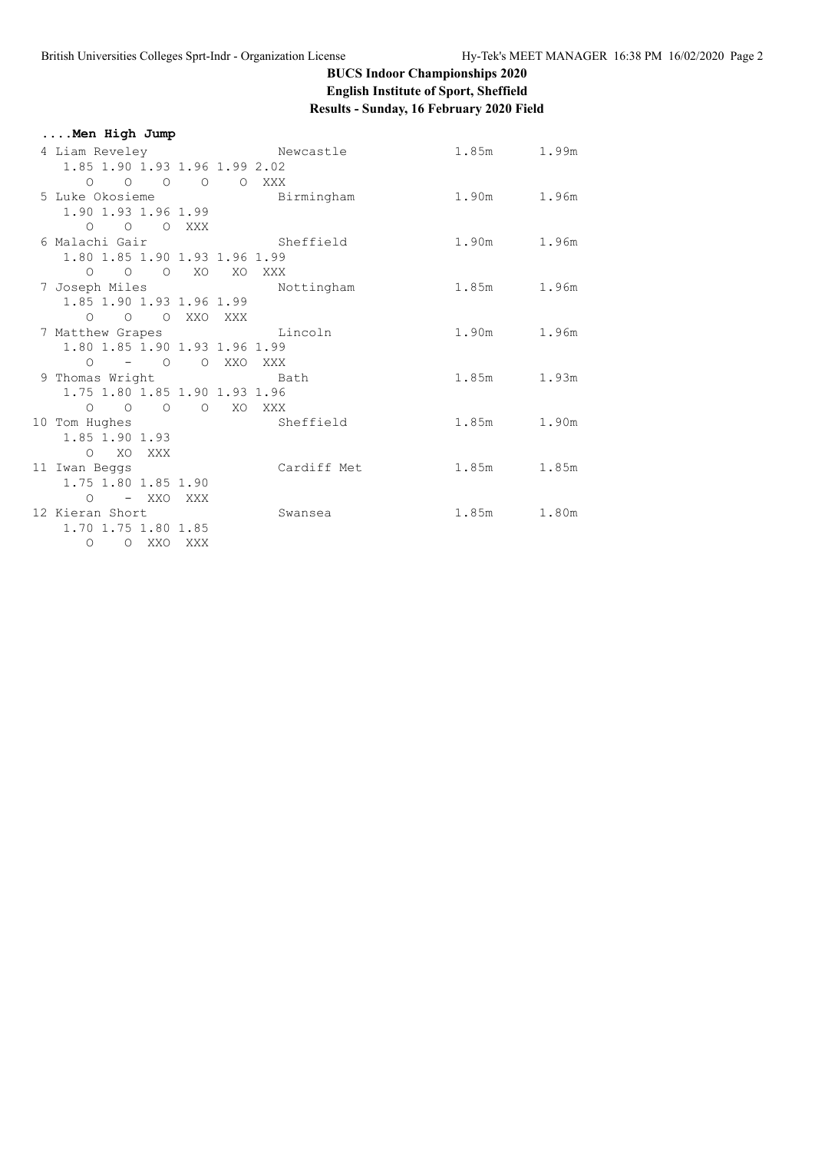### **BUCS Indoor Championships 2020 English Institute of Sport, Sheffield Results - Sunday, 16 February 2020 Field**

| Men High Jump                        |                                                |             |  |
|--------------------------------------|------------------------------------------------|-------------|--|
|                                      | 4 Liam Reveley Charles Newcastle 201.85m 1.99m |             |  |
| 1.85 1.90 1.93 1.96 1.99 2.02        |                                                |             |  |
| 0 0 0 0 0 XXX                        |                                                |             |  |
| 5 Luke Okosieme                      | Birmingham                                     | 1.90m 1.96m |  |
| 1.90 1.93 1.96 1.99                  |                                                |             |  |
| O O O XXX                            |                                                |             |  |
| 6 Malachi Gair                       | Sheffield                                      | 1.90m 1.96m |  |
| 1.80 1.85 1.90 1.93 1.96 1.99        |                                                |             |  |
| O O O XO XO XXX                      |                                                |             |  |
| 7 Joseph Miles                       | Nottingham                                     | 1.85m 1.96m |  |
| 1.85 1.90 1.93 1.96 1.99             |                                                |             |  |
| O O O XXO XXX                        |                                                |             |  |
| 7 Matthew Grapes Contract Lincoln    |                                                | 1.90m 1.96m |  |
| 1.80 1.85 1.90 1.93 1.96 1.99        |                                                |             |  |
| 0 – 0 0 XXO XXX                      |                                                |             |  |
| 9 Thomas Wright Contract Bath        |                                                | 1.85m 1.93m |  |
| 1.75 1.80 1.85 1.90 1.93 1.96        |                                                |             |  |
| 0 0 0 0 XO XXX                       |                                                |             |  |
| 10 Tom Hughes                        | Sheffield                                      | 1.85m 1.90m |  |
| 1.85 1.90 1.93                       |                                                |             |  |
| O XO XXX                             | Cardiff Met                                    | 1.85m 1.85m |  |
| 11 Iwan Beggs<br>1.75 1.80 1.85 1.90 |                                                |             |  |
| O – XXO XXX                          |                                                |             |  |
| 12 Kieran Short                      | Swansea                                        | 1.85m 1.80m |  |
| 1.70 1.75 1.80 1.85                  |                                                |             |  |
| O XXO XXX<br>$\circ$                 |                                                |             |  |
|                                      |                                                |             |  |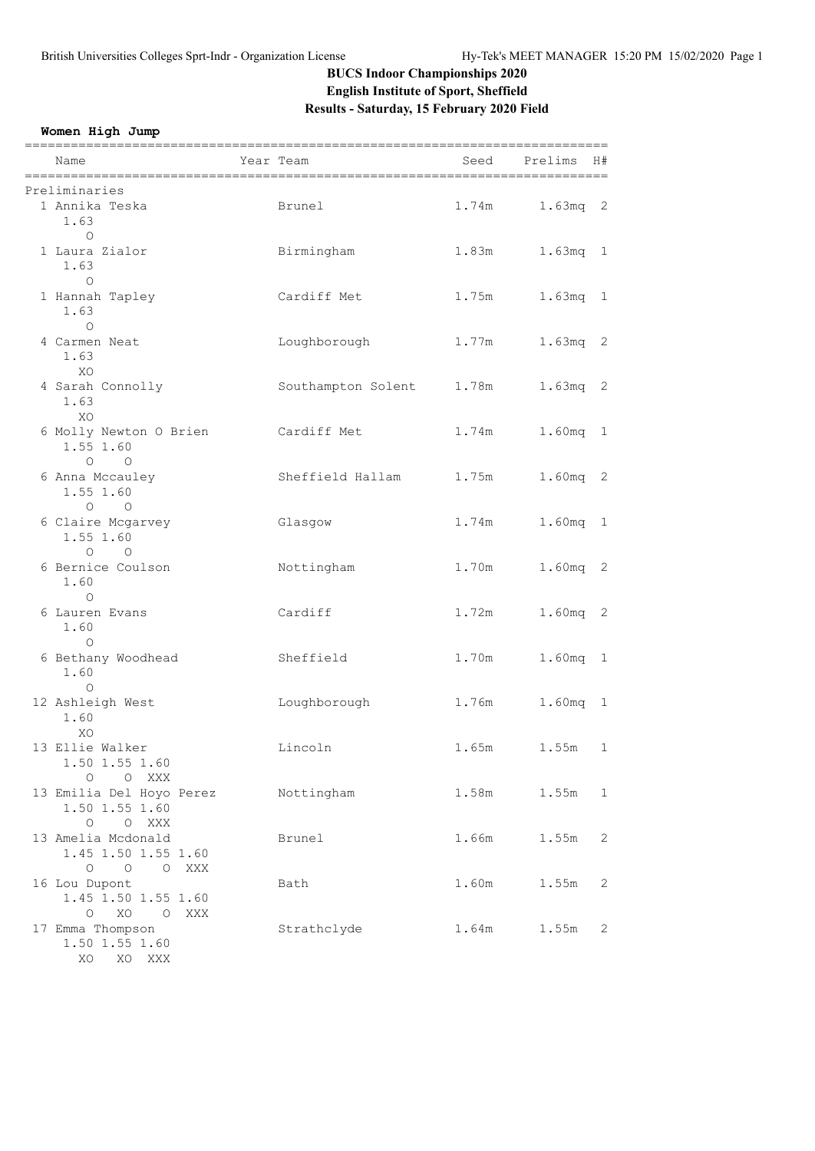# **BUCS Indoor Championships 2020 English Institute of Sport, Sheffield Results - Saturday, 15 February 2020 Field**

**Women High Jump**

| Name                                                                   | Year Team                | Seed  | Prelims<br>H# |
|------------------------------------------------------------------------|--------------------------|-------|---------------|
| Preliminaries                                                          |                          |       |               |
| 1 Annika Teska<br>1.63                                                 | Brunel                   | 1.74m | $1.63mg$ 2    |
| $\circ$<br>1 Laura Zialor<br>1.63                                      | Birmingham               | 1.83m | $1.63mg$ 1    |
| $\circ$<br>1 Hannah Tapley<br>1.63<br>$\Omega$                         | Cardiff Met              | 1.75m | $1.63mg$ 1    |
| 4 Carmen Neat<br>1.63<br>XO                                            | Loughborough             | 1.77m | 1.63mq 2      |
| 4 Sarah Connolly<br>1.63<br>XO                                         | Southampton Solent 1.78m |       | $1.63mg$ 2    |
| 6 Molly Newton O Brien<br>1.55 1.60<br>$O$ $O$                         | Cardiff Met              | 1.74m | 1.60mg 1      |
| 6 Anna Mccauley<br>1.55 1.60<br>$\circ$ $\circ$                        | Sheffield Hallam 1.75m   |       | 1.60mg 2      |
| 6 Claire Mcgarvey<br>1.55 1.60                                         | Glasgow                  | 1.74m | 1.60mg 1      |
| $O$ $O$<br>6 Bernice Coulson<br>1.60                                   | Nottingham               | 1.70m | 1.60mg 2      |
| $\circ$<br>6 Lauren Evans<br>1.60                                      | Cardiff                  | 1.72m | 1.60mg 2      |
| $\circ$<br>6 Bethany Woodhead<br>1.60<br>$\circ$                       | Sheffield                | 1.70m | 1.60mq 1      |
| 12 Ashleigh West<br>1.60<br>XO                                         | Loughborough             | 1.76m | 1.60mg 1      |
| 13 Ellie Walker<br>1.50 1.55 1.60<br>O O XXX                           | Lincoln                  | 1.65m | 1.55m<br>1    |
| 13 Emilia Del Hoyo Perez<br>1.50 1.55 1.60<br>O O XXX                  | Nottingham               | 1.58m | 1.55m<br>1    |
| 13 Amelia Mcdonald<br>1.45 1.50 1.55 1.60<br>O O O XXX                 | Brunel                   | 1.66m | 1.55m<br>2    |
| 16 Lou Dupont<br>1.45 1.50 1.55 1.60                                   | Bath                     | 1.60m | 1.55m<br>2    |
| XO O XXX<br>$\circ$<br>17 Emma Thompson<br>1.50 1.55 1.60<br>XO XO XXX | Strathclyde              | 1.64m | 1.55m<br>2    |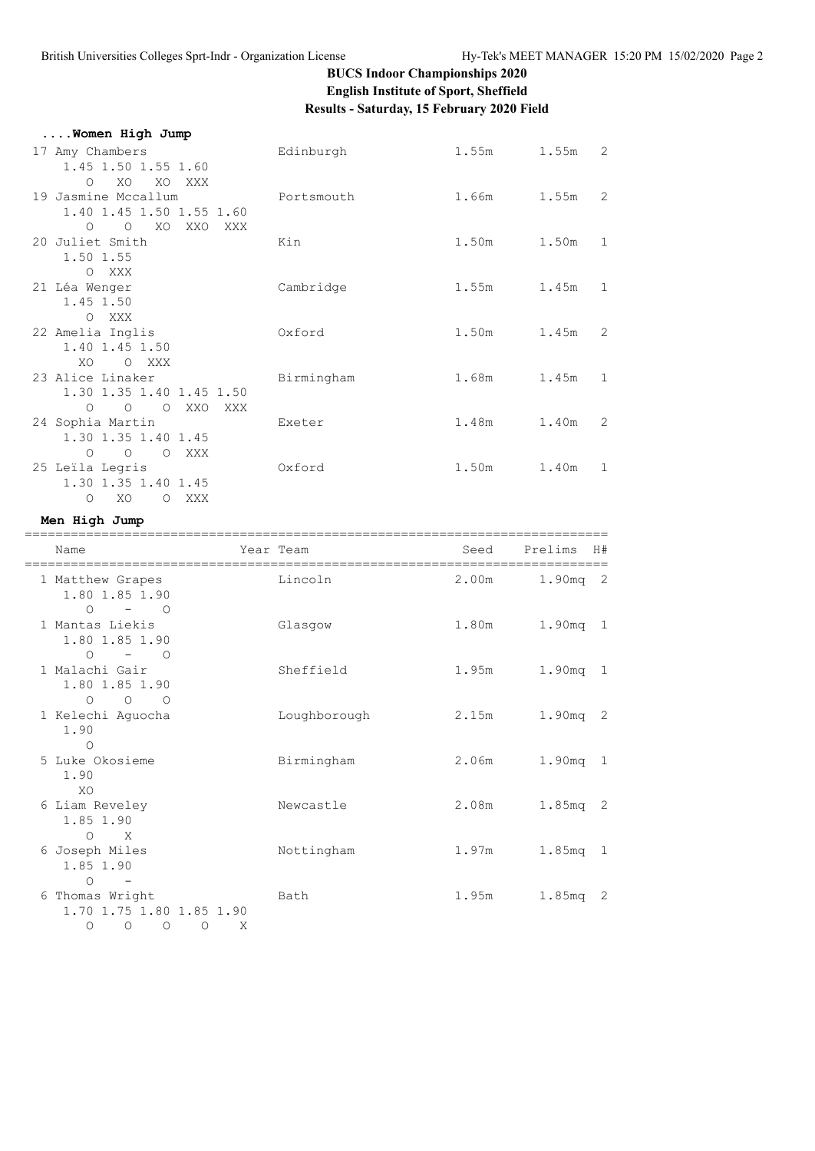# **BUCS Indoor Championships 2020 English Institute of Sport, Sheffield Results - Saturday, 15 February 2020 Field**

| Women High Jump                             |            |                   |           |   |
|---------------------------------------------|------------|-------------------|-----------|---|
| 17 Amy Chambers                             | Edinburgh  | 1.55m 1.55m 2     |           |   |
| 1.45 1.50 1.55 1.60                         |            |                   |           |   |
| XO<br>XO XXX<br>$\circ$                     |            |                   |           |   |
| 19 Jasmine Mccallum                         | Portsmouth | 1.66m 1.55m       |           | 2 |
| 1.40 1.45 1.50 1.55 1.60                    |            |                   |           |   |
| $\circ$<br>$\circ$<br>XO<br>XXO<br>XXX      |            |                   |           |   |
| 20 Juliet Smith                             | Kin        | 1.50m 1.50m 1     |           |   |
| 1.50 1.55                                   |            |                   |           |   |
| O XXX                                       |            |                   |           |   |
| 21 Léa Wenger                               | Cambridge  | 1.55m             | $1.45m$ 1 |   |
| 1.45 1.50                                   |            |                   |           |   |
| O XXX                                       |            |                   |           |   |
| 22 Amelia Inglis                            | Oxford     | 1.50m 1.45m 2     |           |   |
| 1.40 1.45 1.50                              |            |                   |           |   |
| XO.<br>O XXX                                |            |                   |           |   |
| 23 Alice Linaker                            | Birmingham | $1.68m$ $1.45m$ 1 |           |   |
| 1.30 1.35 1.40 1.45 1.50                    |            |                   |           |   |
| $\overline{O}$<br>O XXO<br>$\circ$<br>XXX   |            |                   |           |   |
| 24 Sophia Martin                            | Exeter     | 1.48m 1.40m       |           | 2 |
| 1.30 1.35 1.40 1.45                         |            |                   |           |   |
| $\overline{O}$<br>$\circ$<br>XXX<br>$\circ$ |            |                   |           |   |
| 25 Leila Legris                             | Oxford     | 1.50m 1.40m 1     |           |   |
| 1.30 1.35 1.40 1.45                         |            |                   |           |   |
| XO<br>O XXX<br>$\circ$                      |            |                   |           |   |

#### **Men High Jump**

| Name                                                                                          | Year Team |              | Seed  | Prelims     | H# |
|-----------------------------------------------------------------------------------------------|-----------|--------------|-------|-------------|----|
| 1 Matthew Grapes<br>1.80 1.85 1.90<br>$-$ 0<br>$\circ$                                        |           | Lincoln      | 2.00m | $1.90$ mq 2 |    |
| 1 Mantas Liekis<br>1.80 1.85 1.90<br>$-$ 0<br>$\Omega$                                        |           | Glasgow      | 1.80m | 1.90mq 1    |    |
| 1 Malachi Gair<br>1.80 1.85 1.90<br>$\circ$<br>$\overline{O}$<br>$\overline{O}$               |           | Sheffield    | 1.95m | 1.90mq 1    |    |
| 1 Kelechi Aquocha<br>1.90<br>$\circ$                                                          |           | Loughborough | 2.15m | 1.90mg 2    |    |
| 5 Luke Okosieme<br>1.90<br>XO                                                                 |           | Birmingham   | 2.06m | 1.90mq 1    |    |
| 6 Liam Reveley<br>1.85 1.90<br>$\circ$<br>$\mathbf{x}$                                        |           | Newcastle    | 2.08m | $1.85mg$ 2  |    |
| 6 Joseph Miles<br>1.85 1.90<br>$\circ$                                                        |           | Nottingham   | 1.97m | 1.85mg 1    |    |
| 6 Thomas Wright<br>1.70 1.75 1.80 1.85 1.90<br>$\circlearrowright$<br>$\circ$<br>$\circ$<br>O | Χ         | Bath         | 1.95m | 1.85mq 2    |    |